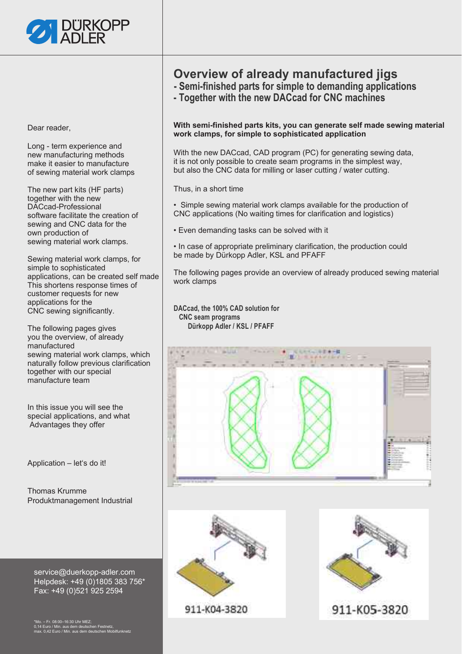

Dear reader,

Long - term experience and new manufacturing methods make it easier to manufacture of sewing material work clamps

The new part kits (HF parts) together with the new DACcad-Professional software facilitate the creation of sewing and CNC data for the own production of sewing material work clamps.

Sewing material work clamps, for simple to sophisticated applications, can be created self made This shortens response times of customer requests for new applications for the CNC sewing significantly.

The following pages gives you the overview, of already manufactured sewing material work clamps, which naturally follow previous clarification together with our special manufacture team

In this issue you will see the special applications, and what Advantages they offer

Application – let's do it!

Thomas Krumme Produktmanagement Industrial

service@duerkopp-adler.com Helpdesk: +49 (0)1805 383 756\* Fax: +49 (0)521 925 2594

\*Mo. – Fr. 08:00–16:30 Uhr MEZ; 0,14 Euro / Min. aus dem deutschen Festnetz, max. 0,42 Euro / Min. aus dem deutschen Mobilfunknetz

### **Overview of already manufactured jigs**

- **Semi-finished parts for simple to demanding applications**
- **Together with the new DACcad for CNC machines**

**With semi-finished parts kits, you can generate self made sewing material work clamps, for simple to sophisticated application**

With the new DACcad, CAD program (PC) for generating sewing data, it is not only possible to create seam programs in the simplest way, but also the CNC data for milling or laser cutting / water cutting.

Thus, in a short time

• Simple sewing material work clamps available for the production of CNC applications (No waiting times for clarification and logistics)

• Even demanding tasks can be solved with it

• In case of appropriate preliminary clarification, the production could be made by Dürkopp Adler, KSL and PFAFF

The following pages provide an overview of already produced sewing material work clamps

**DACcad, the 100% CAD solution for CNC seam programs Dürkopp Adler / KSL / PFAFF** 





911-K04-3820

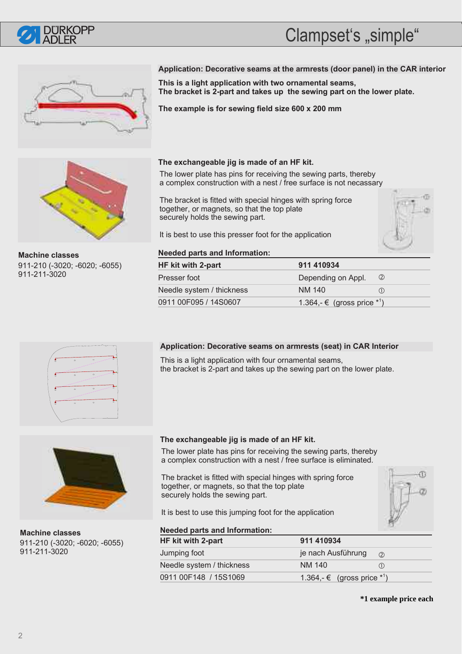

# Clampset's "simple"





**Machine classes** 911-210 (-3020; -6020; -6055) 911-211-3020

### **Application: Decorative seams at the armrests (door panel) in the CAR interior**

**This is a light application with two ornamental seams, The bracket is 2-part and takes up the sewing part on the lower plate.**

**The example is for sewing field size 600 x 200 mm** 

### **The exchangeable jig is made of an HF kit.**

The lower plate has pins for receiving the sewing parts, thereby a complex construction with a nest / free surface is not necassary

The bracket is fitted with special hinges with spring force together, or magnets, so that the top plate securely holds the sewing part.

It is best to use this presser foot for the application



**Needed parts and Information:**

| HF kit with 2-part        | 911 410934                    |     |
|---------------------------|-------------------------------|-----|
| Presser foot              | Depending on Appl.            | (2) |
| Needle system / thickness | NM 140                        |     |
| 0911 00F095 / 14S0607     | 1.364,- € (gross price $*1$ ) |     |

### **Application: Decorative seams on armrests (seat) in CAR Interior**

This is a light application with four ornamental seams, the bracket is 2-part and takes up the sewing part on the lower plate.



**Machine classes** 911-210 (-3020; -6020; -6055) 911-211-3020

### **The exchangeable jig is made of an HF kit.**

The lower plate has pins for receiving the sewing parts, thereby a complex construction with a nest / free surface is eliminated.

The bracket is fitted with special hinges with spring force together, or magnets, so that the top plate securely holds the sewing part.

It is best to use this jumping foot for the application



### **Needed parts and Information:**

| HF kit with 2-part        | 911 410934                                |  |
|---------------------------|-------------------------------------------|--|
| Jumping foot              | je nach Ausführung<br>(2)                 |  |
| Needle system / thickness | NM 140<br>(1)                             |  |
| 0911 00F148 / 15S1069     | 1.364,- $∈$ (gross price * <sup>1</sup> ) |  |

**\*1 example price each**

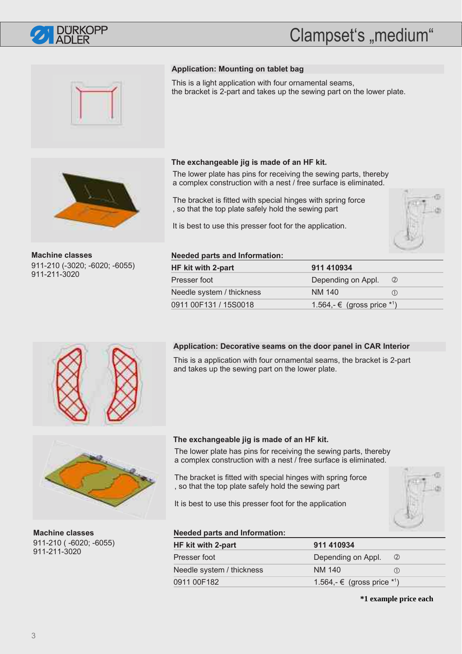

# Clampset's "medium"





**Machine classes** 911-210 (-3020; -6020; -6055) 911-211-3020

### **Application: Mounting on tablet bag**

This is a light application with four ornamental seams, the bracket is 2-part and takes up the sewing part on the lower plate.

### **The exchangeable jig is made of an HF kit.**

The lower plate has pins for receiving the sewing parts, thereby a complex construction with a nest / free surface is eliminated.

The bracket is fitted with special hinges with spring force , so that the top plate safely hold the sewing part

It is best to use this presser foot for the application.



### **Needed parts and Information:**

| HF kit with 2-part        | 911 410934                    |  |
|---------------------------|-------------------------------|--|
| Presser foot              | Depending on Appl.<br>$\circ$ |  |
| Needle system / thickness | NM 140<br>(1)                 |  |
| 0911 00F131 / 15S0018     | 1.564,- € (gross price $*1$ ) |  |

### **Application: Decorative seams on the door panel in CAR Interior**

This is a application with four ornamental seams, the bracket is 2-part and takes up the sewing part on the lower plate.



**Machine classes** 911-210 ( -6020; -6055) 911-211-3020

### **The exchangeable jig is made of an HF kit.**

The lower plate has pins for receiving the sewing parts, thereby a complex construction with a nest / free surface is eliminated.

The bracket is fitted with special hinges with spring force , so that the top plate safely hold the sewing part

It is best to use this presser foot for the application



### **Needed parts and Information:**

| HF kit with 2-part        | 911 410934                              |     |
|---------------------------|-----------------------------------------|-----|
| Presser foot              | Depending on Appl.                      | (2) |
| Needle system / thickness | NM 140                                  | (1) |
| 0911 00F182               | 1.564,- € (gross price * <sup>1</sup> ) |     |

**\*1 example price each**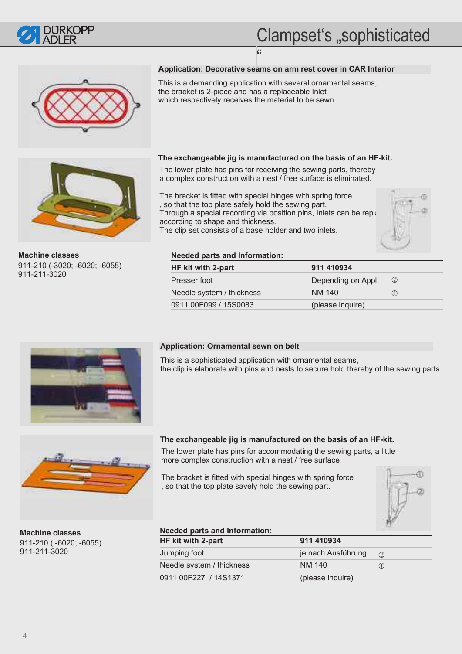

# Clampset's "sophisticated





**Machine classes** 911-210 (-3020; -6020; -6055) 911-211-3020

### **Application: Decorative seams on arm rest cover in CAR Interior** "

This is a demanding application with several ornamental seams, the bracket is 2-piece and has a replaceable Inlet which respectively receives the material to be sewn.

### **The exchangeable jig is manufactured on the basis of an HF-kit.**

The lower plate has pins for receiving the sewing parts, thereby a complex construction with a nest / free surface is eliminated.

The bracket is fitted with special hinges with spring force , so that the top plate safely hold the sewing part. Through a special recording via position pins, Inlets can be replaced according to shape and thickness. The clip set consists of a base holder and two inlets.



#### **Needed parts and Information:**

| HF kit with 2-part        | 911 410934         |               |
|---------------------------|--------------------|---------------|
| Presser foot              | Depending on Appl. | $\circled{2}$ |
| Needle system / thickness | NM 140             | (1)           |
| 0911 00F099 / 15S0083     | (please inquire)   |               |



#### **Application: Ornamental sewn on belt**

This is a sophisticated application with ornamental seams, the clip is elaborate with pins and nests to secure hold thereby of the sewing parts.



**Machine classes** 911-210 ( -6020; -6055) 911-211-3020

### **The exchangeable jig is manufactured on the basis of an HF-kit.**

The lower plate has pins for accommodating the sewing parts, a little more complex construction with a nest / free surface.

The bracket is fitted with special hinges with spring force , so that the top plate savely hold the sewing part.



### **Needed parts and Information:**

| HF kit with 2-part        | 911 410934         |     |  |
|---------------------------|--------------------|-----|--|
| Jumping foot              | je nach Ausführung | (2) |  |
| Needle system / thickness | NM 140             | (1) |  |
| 0911 00F227 / 14S1371     | (please inquire)   |     |  |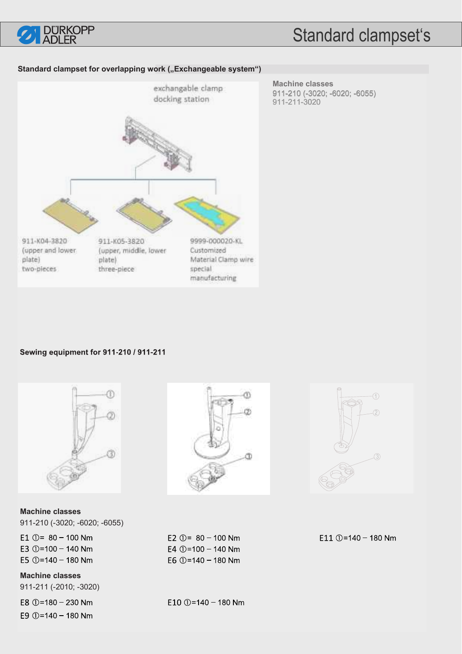

### **Standard clampset for overlapping work ("Exchangeable system")**



**Machine classes** 911-210 (-3020; -6020; -6055) 911-211-3020 911-210 911-211-3020

### Sewing equipment for 911-210 / 911-211



**Machine classes** 911-210 (-3020; -6020; -6055) E1  $\textcircled{1}$  = 80 - 100 Nm

E3  $①=100 - 140$  Nm E5  $(D=140 - 180$  Nm

**Machine classes** 911-211 (-2010; -3020)

E8  $① = 180 - 230$  Nm E9  $(D=140 - 180$  Nm



E2 ①=  $80 - 100$  Nm E4  $(I) = 100 - 140$  Nm E6  $@=140-180$  Nm

E10  $① = 140 - 180$  Nm



E11  $\oplus$ =140 - 180 Nm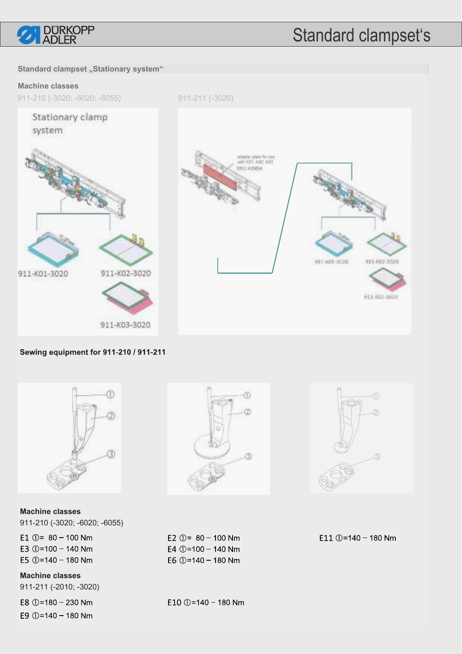

### **Standard clampset "Stationary system"**

### **Machine classes**

911-210 (-3020; -6020; -6055)

911-211 (-3020)







Sewing equipment for 911-210 / 911-211



**Machine classes** 911-210 (-3020; -6020; -6055)

E1  $\odot$  = 80 - 100 Nm E3  $①=100 - 140$  Nm E5  $(D=140 - 180$  Nm

**Machine classes** 911-211 (-2010; -3020)

E8  $① = 180 - 230$  Nm





E4  $(D=100 - 140$  Nm E6  $① = 140 - 180$  Nm

E10  $\circled{0}$ =140 - 180 Nm

E11  $\oplus$ =140 - 180 Nm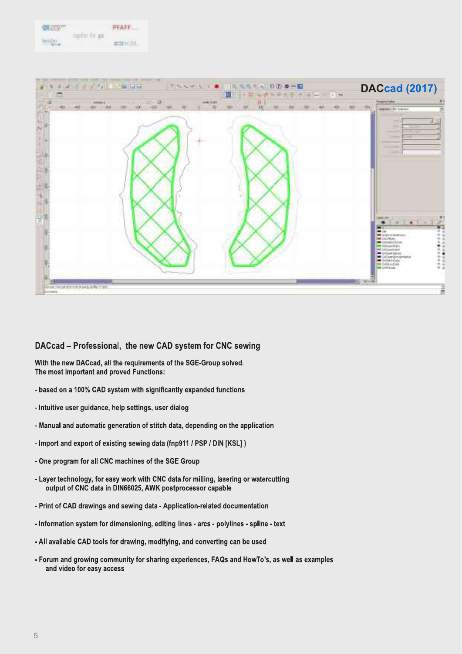



### DACcad - Professional, the new CAD system for CNC sewing

With the new DACcad, all the requirements of the SGE-Group solved. The most important and proved Functions:

- based on a 100% CAD system with significantly expanded functions
- Intuitive user guidance, help settings, user dialog
- Manual and automatic generation of stitch data, depending on the application
- Import and export of existing sewing data (fnp911 / PSP / DIN [KSL])
- One program for all CNC machines of the SGE Group
- Layer technology, for easy work with CNC data for milling, lasering or watercutting output of CNC data in DIN66025, AWK postprocessor capable
- Print of CAD drawings and sewing data Application-related documentation
- Information system for dimensioning, editing lines arcs polylines spline text
- All available CAD tools for drawing, modifying, and converting can be used
- Forum and growing community for sharing experiences, FAQs and HowTo's, as well as examples and video for easy access